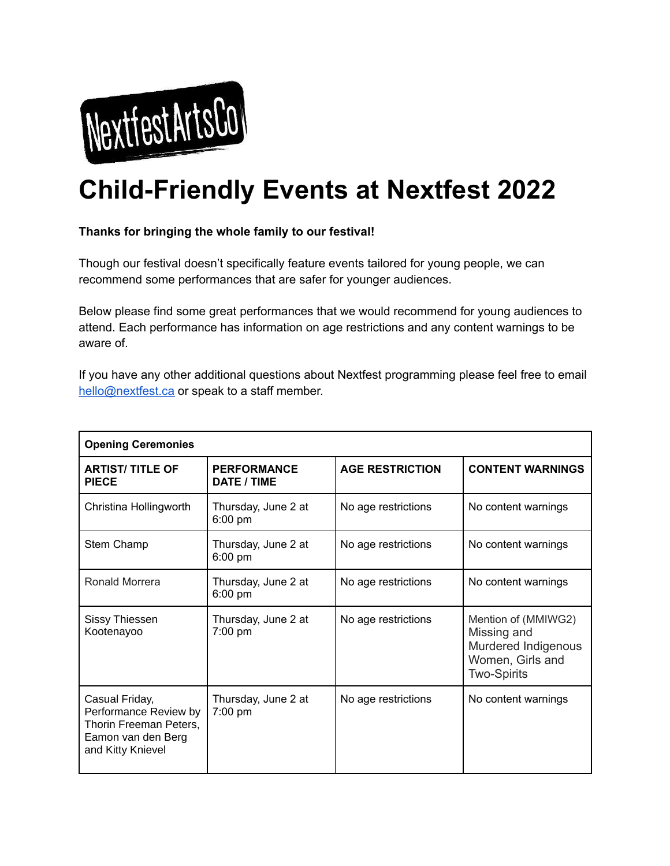

## **Child-Friendly Events at Nextfest 2022**

## **Thanks for bringing the whole family to our festival!**

Though our festival doesn't specifically feature events tailored for young people, we can recommend some performances that are safer for younger audiences.

Below please find some great performances that we would recommend for young audiences to attend. Each performance has information on age restrictions and any content warnings to be aware of.

If you have any other additional questions about Nextfest programming please feel free to email [hello@nextfest.ca](mailto:hello@nextfest.ca) or speak to a staff member.

| <b>Opening Ceremonies</b>                                                                                    |                                   |                        |                                                                                                     |  |  |
|--------------------------------------------------------------------------------------------------------------|-----------------------------------|------------------------|-----------------------------------------------------------------------------------------------------|--|--|
| <b>ARTIST/TITLE OF</b><br><b>PIECE</b>                                                                       | <b>PERFORMANCE</b><br>DATE / TIME | <b>AGE RESTRICTION</b> | <b>CONTENT WARNINGS</b>                                                                             |  |  |
| Christina Hollingworth                                                                                       | Thursday, June 2 at<br>$6:00$ pm  | No age restrictions    | No content warnings                                                                                 |  |  |
| Stem Champ                                                                                                   | Thursday, June 2 at<br>6:00 pm    | No age restrictions    | No content warnings                                                                                 |  |  |
| Ronald Morrera                                                                                               | Thursday, June 2 at<br>6:00 pm    | No age restrictions    | No content warnings                                                                                 |  |  |
| Sissy Thiessen<br>Kootenayoo                                                                                 | Thursday, June 2 at<br>$7:00$ pm  | No age restrictions    | Mention of (MMIWG2)<br>Missing and<br>Murdered Indigenous<br>Women, Girls and<br><b>Two-Spirits</b> |  |  |
| Casual Friday,<br>Performance Review by<br>Thorin Freeman Peters,<br>Eamon van den Berg<br>and Kitty Knievel | Thursday, June 2 at<br>7:00 pm    | No age restrictions    | No content warnings                                                                                 |  |  |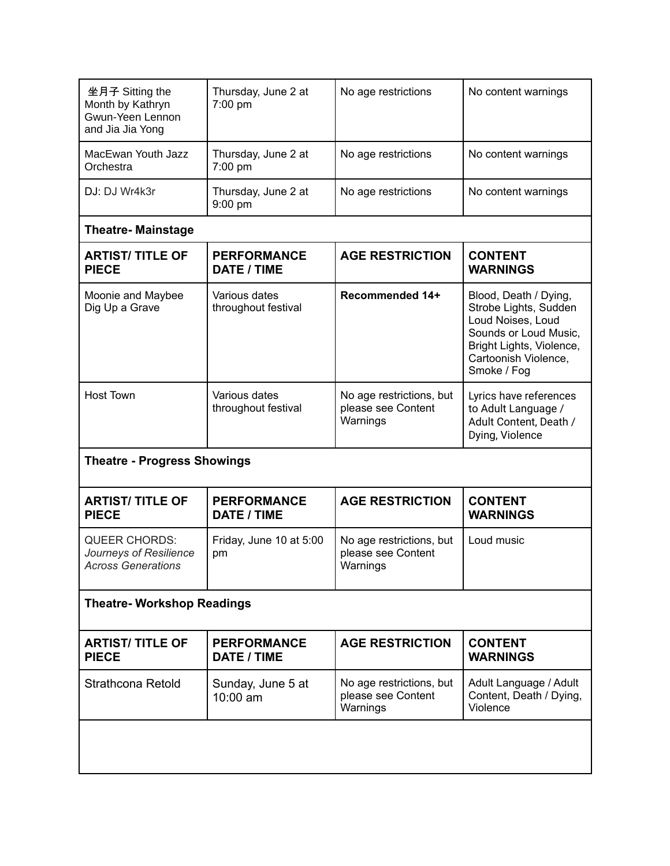| 坐月子 Sitting the<br>Month by Kathryn<br>Gwun-Yeen Lennon<br>and Jia Jia Yong | Thursday, June 2 at<br>7:00 pm           | No age restrictions                                        | No content warnings                                                                                                                                             |  |  |
|-----------------------------------------------------------------------------|------------------------------------------|------------------------------------------------------------|-----------------------------------------------------------------------------------------------------------------------------------------------------------------|--|--|
| MacEwan Youth Jazz<br>Orchestra                                             | Thursday, June 2 at<br>7:00 pm           | No age restrictions                                        | No content warnings                                                                                                                                             |  |  |
| DJ: DJ Wr4k3r                                                               | Thursday, June 2 at<br>9:00 pm           | No age restrictions                                        | No content warnings                                                                                                                                             |  |  |
| <b>Theatre- Mainstage</b>                                                   |                                          |                                                            |                                                                                                                                                                 |  |  |
| <b>ARTIST/ TITLE OF</b><br><b>PIECE</b>                                     | <b>PERFORMANCE</b><br><b>DATE / TIME</b> | <b>AGE RESTRICTION</b>                                     | <b>CONTENT</b><br><b>WARNINGS</b>                                                                                                                               |  |  |
| Moonie and Maybee<br>Dig Up a Grave                                         | Various dates<br>throughout festival     | Recommended 14+                                            | Blood, Death / Dying,<br>Strobe Lights, Sudden<br>Loud Noises, Loud<br>Sounds or Loud Music,<br>Bright Lights, Violence,<br>Cartoonish Violence,<br>Smoke / Fog |  |  |
| <b>Host Town</b>                                                            | Various dates<br>throughout festival     | No age restrictions, but<br>please see Content<br>Warnings | Lyrics have references<br>to Adult Language /<br>Adult Content, Death /<br>Dying, Violence                                                                      |  |  |
| <b>Theatre - Progress Showings</b>                                          |                                          |                                                            |                                                                                                                                                                 |  |  |
| <b>ARTIST/TITLE OF</b><br><b>PIECE</b>                                      | <b>PERFORMANCE</b><br>DATE / TIME        | <b>AGE RESTRICTION</b>                                     | <b>CONTENT</b><br><b>WARNINGS</b>                                                                                                                               |  |  |
| <b>QUEER CHORDS:</b><br>Journeys of Resilience<br><b>Across Generations</b> | Friday, June 10 at 5:00<br>pm            | No age restrictions, but<br>please see Content<br>Warnings | Loud music                                                                                                                                                      |  |  |
| <b>Theatre- Workshop Readings</b>                                           |                                          |                                                            |                                                                                                                                                                 |  |  |
| <b>ARTIST/ TITLE OF</b><br><b>PIECE</b>                                     | <b>PERFORMANCE</b><br><b>DATE / TIME</b> | <b>AGE RESTRICTION</b>                                     | <b>CONTENT</b><br><b>WARNINGS</b>                                                                                                                               |  |  |
| Strathcona Retold                                                           | Sunday, June 5 at<br>10:00 am            | No age restrictions, but<br>please see Content<br>Warnings | Adult Language / Adult<br>Content, Death / Dying,<br>Violence                                                                                                   |  |  |
|                                                                             |                                          |                                                            |                                                                                                                                                                 |  |  |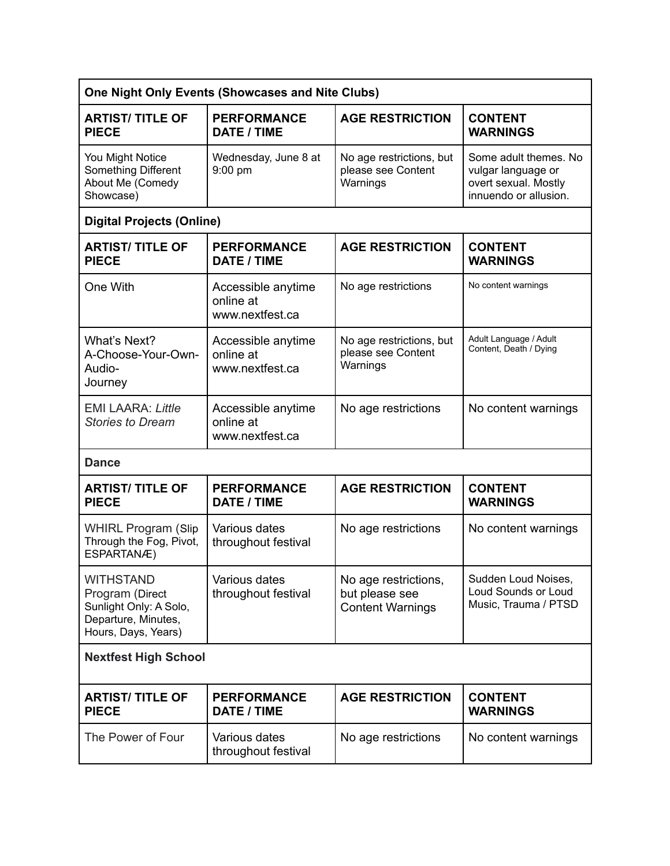| One Night Only Events (Showcases and Nite Clubs)                                                            |                                                    |                                                                   |                                                                                              |  |  |
|-------------------------------------------------------------------------------------------------------------|----------------------------------------------------|-------------------------------------------------------------------|----------------------------------------------------------------------------------------------|--|--|
| <b>ARTIST/ TITLE OF</b><br><b>PIECE</b>                                                                     | <b>PERFORMANCE</b><br>DATE / TIME                  | <b>AGE RESTRICTION</b>                                            | <b>CONTENT</b><br><b>WARNINGS</b>                                                            |  |  |
| You Might Notice<br>Something Different<br>About Me (Comedy<br>Showcase)                                    | Wednesday, June 8 at<br>9:00 pm                    | No age restrictions, but<br>please see Content<br>Warnings        | Some adult themes. No<br>vulgar language or<br>overt sexual. Mostly<br>innuendo or allusion. |  |  |
| <b>Digital Projects (Online)</b>                                                                            |                                                    |                                                                   |                                                                                              |  |  |
| <b>ARTIST/TITLE OF</b><br><b>PIECE</b>                                                                      | <b>PERFORMANCE</b><br>DATE / TIME                  | <b>AGE RESTRICTION</b>                                            | <b>CONTENT</b><br><b>WARNINGS</b>                                                            |  |  |
| One With                                                                                                    | Accessible anytime<br>online at<br>www.nextfest.ca | No age restrictions                                               | No content warnings                                                                          |  |  |
| What's Next?<br>A-Choose-Your-Own-<br>Audio-<br>Journey                                                     | Accessible anytime<br>online at<br>www.nextfest.ca | No age restrictions, but<br>please see Content<br>Warnings        | Adult Language / Adult<br>Content, Death / Dying                                             |  |  |
| <b>EMI LAARA: Little</b><br><b>Stories to Dream</b>                                                         | Accessible anytime<br>online at<br>www.nextfest.ca | No age restrictions                                               | No content warnings                                                                          |  |  |
| <b>Dance</b>                                                                                                |                                                    |                                                                   |                                                                                              |  |  |
| <b>ARTIST/ TITLE OF</b><br><b>PIECE</b>                                                                     | <b>PERFORMANCE</b><br><b>DATE / TIME</b>           | <b>AGE RESTRICTION</b>                                            | <b>CONTENT</b><br><b>WARNINGS</b>                                                            |  |  |
| <b>WHIRL Program (Slip</b><br>Through the Fog, Pivot,<br>ESPARTANÆ)                                         | Various dates<br>throughout festival               | No age restrictions                                               | No content warnings                                                                          |  |  |
| <b>WITHSTAND</b><br>Program (Direct<br>Sunlight Only: A Solo,<br>Departure, Minutes,<br>Hours, Days, Years) | Various dates<br>throughout festival               | No age restrictions,<br>but please see<br><b>Content Warnings</b> | Sudden Loud Noises,<br>Loud Sounds or Loud<br>Music, Trauma / PTSD                           |  |  |
| <b>Nextfest High School</b>                                                                                 |                                                    |                                                                   |                                                                                              |  |  |
| <b>ARTIST/ TITLE OF</b><br><b>PIECE</b>                                                                     | <b>PERFORMANCE</b><br><b>DATE / TIME</b>           | <b>AGE RESTRICTION</b>                                            | <b>CONTENT</b><br><b>WARNINGS</b>                                                            |  |  |
| The Power of Four                                                                                           | Various dates<br>throughout festival               | No age restrictions                                               | No content warnings                                                                          |  |  |